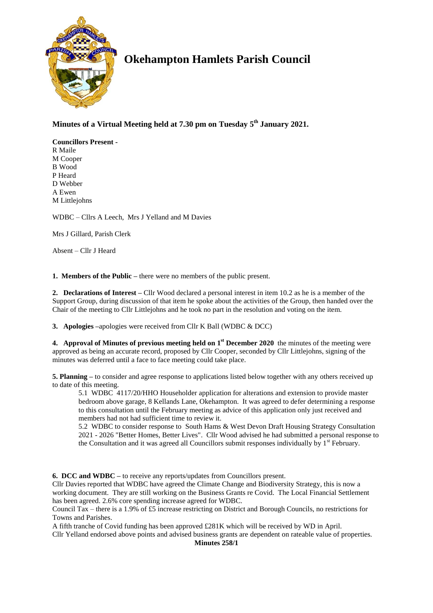

# **Okehampton Hamlets Parish Council**

# **Minutes of a Virtual Meeting held at 7.30 pm on Tuesday 5 th January 2021.**

**Councillors Present -** R Maile M Cooper B Wood P Heard D Webber A Ewen M Littlejohns

WDBC – Cllrs A Leech, Mrs J Yelland and M Davies

Mrs J Gillard, Parish Clerk

Absent – Cllr J Heard

**1. Members of the Public –** there were no members of the public present.

**2. Declarations of Interest –** Cllr Wood declared a personal interest in item 10.2 as he is a member of the Support Group, during discussion of that item he spoke about the activities of the Group, then handed over the Chair of the meeting to Cllr Littlejohns and he took no part in the resolution and voting on the item.

**3. Apologies –**apologies were received from Cllr K Ball (WDBC & DCC)

**4. Approval of Minutes of previous meeting held on 1 st December 2020** the minutes of the meeting were approved as being an accurate record, proposed by Cllr Cooper, seconded by Cllr Littlejohns, signing of the minutes was deferred until a face to face meeting could take place.

**5. Planning –** to consider and agree response to applications listed below together with any others received up to date of this meeting.

5.1 WDBC 4117/20/HHO Householder application for alterations and extension to provide master bedroom above garage, 8 Kellands Lane, Okehampton. It was agreed to defer determining a response to this consultation until the February meeting as advice of this application only just received and members had not had sufficient time to review it.

5.2 WDBC to consider response to South Hams & West Devon Draft Housing Strategy Consultation 2021 - 2026 "Better Homes, Better Lives". Cllr Wood advised he had submitted a personal response to the Consultation and it was agreed all Councillors submit responses individually by  $1<sup>st</sup>$  February.

**6. DCC and WDBC –** to receive any reports/updates from Councillors present.

Cllr Davies reported that WDBC have agreed the Climate Change and Biodiversity Strategy, this is now a working document. They are still working on the Business Grants re Covid. The Local Financial Settlement has been agreed. 2.6% core spending increase agreed for WDBC.

Council Tax – there is a 1.9% of £5 increase restricting on District and Borough Councils, no restrictions for Towns and Parishes.

A fifth tranche of Covid funding has been approved £281K which will be received by WD in April.

Cllr Yelland endorsed above points and advised business grants are dependent on rateable value of properties. **Minutes 258/1**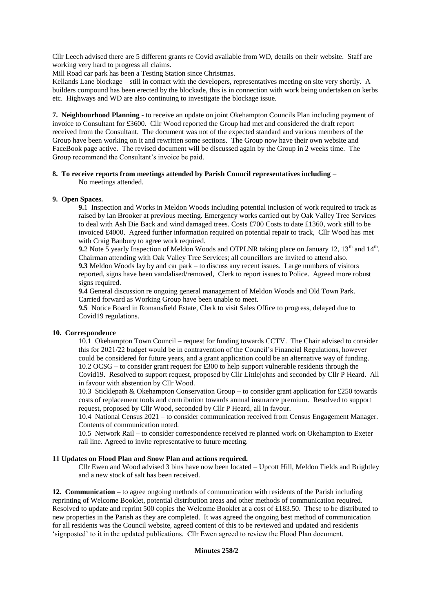Cllr Leech advised there are 5 different grants re Covid available from WD, details on their website. Staff are working very hard to progress all claims.

Mill Road car park has been a Testing Station since Christmas.

Kellands Lane blockage – still in contact with the developers, representatives meeting on site very shortly. A builders compound has been erected by the blockade, this is in connection with work being undertaken on kerbs etc. Highways and WD are also continuing to investigate the blockage issue.

**7. Neighbourhood Planning** - to receive an update on joint Okehampton Councils Plan including payment of invoice to Consultant for £3600. Cllr Wood reported the Group had met and considered the draft report received from the Consultant. The document was not of the expected standard and various members of the Group have been working on it and rewritten some sections. The Group now have their own website and FaceBook page active. The revised document will be discussed again by the Group in 2 weeks time. The Group recommend the Consultant's invoice be paid.

#### **8. To receive reports from meetings attended by Parish Council representatives including** – No meetings attended.

## **9. Open Spaces.**

**9.**1 Inspection and Works in Meldon Woods including potential inclusion of work required to track as raised by Ian Brooker at previous meeting. Emergency works carried out by Oak Valley Tree Services to deal with Ash Die Back and wind damaged trees. Costs £700 Costs to date £1360, work still to be invoiced £4000. Agreed further information required on potential repair to track, Cllr Wood has met with Craig Banbury to agree work required.

**9.**2 Note 5 yearly Inspection of Meldon Woods and OTPLNR taking place on January 12, 13<sup>th</sup> and 14<sup>th</sup>. Chairman attending with Oak Valley Tree Services; all councillors are invited to attend also. **9.3** Meldon Woods lay by and car park – to discuss any recent issues. Large numbers of visitors reported, signs have been vandalised/removed, Clerk to report issues to Police. Agreed more robust signs required.

**9.4** General discussion re ongoing general management of Meldon Woods and Old Town Park. Carried forward as Working Group have been unable to meet.

**9.5** Notice Board in Romansfield Estate, Clerk to visit Sales Office to progress, delayed due to Covid19 regulations.

#### **10. Correspondence**

10.1 Okehampton Town Council – request for funding towards CCTV. The Chair advised to consider this for 2021/22 budget would be in contravention of the Council's Financial Regulations, however could be considered for future years, and a grant application could be an alternative way of funding. 10.2 OCSG – to consider grant request for £300 to help support vulnerable residents through the Covid19. Resolved to support request, proposed by Cllr Littlejohns and seconded by Cllr P Heard. All in favour with abstention by Cllr Wood.

10.3 Sticklepath & Okehampton Conservation Group – to consider grant application for £250 towards costs of replacement tools and contribution towards annual insurance premium. Resolved to support request, proposed by Cllr Wood, seconded by Cllr P Heard, all in favour.

10.4 National Census 2021 – to consider communication received from Census Engagement Manager. Contents of communication noted.

10.5 Network Rail – to consider correspondence received re planned work on Okehampton to Exeter rail line. Agreed to invite representative to future meeting.

#### **11 Updates on Flood Plan and Snow Plan and actions required.**

Cllr Ewen and Wood advised 3 bins have now been located – Upcott Hill, Meldon Fields and Brightley and a new stock of salt has been received.

**12. Communication –** to agree ongoing methods of communication with residents of the Parish including reprinting of Welcome Booklet, potential distribution areas and other methods of communication required. Resolved to update and reprint 500 copies the Welcome Booklet at a cost of £183.50. These to be distributed to new properties in the Parish as they are completed. It was agreed the ongoing best method of communication for all residents was the Council website, agreed content of this to be reviewed and updated and residents 'signposted' to it in the updated publications. Cllr Ewen agreed to review the Flood Plan document.